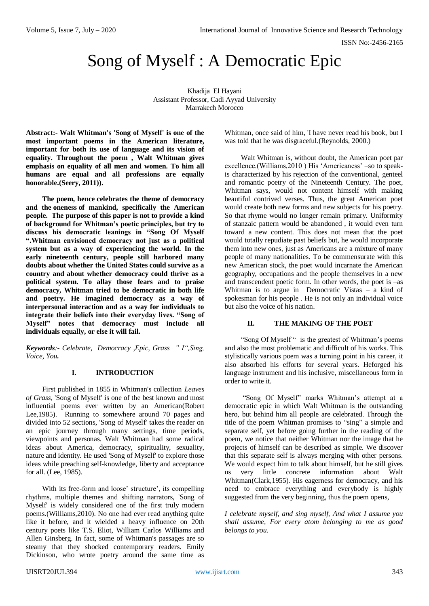# Song of Myself : A Democratic Epic

Khadija El Hayani Assistant Professor, Cadi Ayyad University Marrakech Morocco

**Abstract:- Walt Whitman's 'Song of Myself' is one of the most important poems in the American literature, important for both its use of language and its vision of equality. Throughout the poem , Walt Whitman gives emphasis on equality of all men and women. To him all humans are equal and all professions are equally honorable.(Seery, 2011)).**

**The poem, hence celebrates the theme of democracy and the oneness of mankind, specifically the American people. The purpose of this paper is not to provide a kind of background for Whitman's poetic principles, but try to discuss his democratic leanings in "Song Of Myself ".Whitman envisioned democracy not just as a political system but as a way of experiencing the world. In the early nineteenth century, people still harbored many doubts about whether the United States could survive as a country and about whether democracy could thrive as a political system. To allay those fears and to praise democracy, Whitman tried to be democratic in both life and poetry. He imagined democracy as a way of interpersonal interaction and as a way for individuals to integrate their beliefs into their everyday lives. "Song of Myself" notes that democracy must include all individuals equally, or else it will fail.** 

*Keywords:- Celebrate, Democracy ,Epic, Grass " I",Sing, Voice, You.* 

## **I. INTRODUCTION**

First published in 1855 in Whitman's collection *Leaves of Grass*, 'Song of Myself' is one of the best known and most influential poems ever written by an American(Robert Lee,1985). Running to somewhere around 70 pages and divided into 52 sections, 'Song of Myself' takes the reader on an epic journey through many settings, time periods, viewpoints and personas. Walt Whitman had some radical ideas about America, democracy, spirituality, sexuality, nature and identity. He used 'Song of Myself' to explore those ideas while preaching self-knowledge, liberty and acceptance for all. (Lee, 1985).

With its free-form and loose' structure', its compelling rhythms, multiple themes and shifting narrators, 'Song of Myself' is widely considered one of the first truly modern poems.(Williams,2010). No one had ever read anything quite like it before, and it wielded a heavy influence on 20th century poets like T.S. Eliot, William Carlos Williams and Allen Ginsberg. In fact, some of Whitman's passages are so steamy that they shocked contemporary readers. Emily Dickinson, who wrote poetry around the same time as Whitman, once said of him, 'I have never read his book, but I was told that he was disgraceful.(Reynolds, 2000.)

Walt Whitman is, without doubt, the American poet par excellence.(Williams,2010 ) His 'Americaness' –so to speakis characterized by his rejection of the conventional, genteel and romantic poetry of the Nineteenth Century. The poet, Whitman says, would not content himself with making beautiful contrived verses. Thus, the great American poet would create both new forms and new subjects for his poetry. So that rhyme would no longer remain primary. Uniformity of stanzaic pattern would be abandoned , it would even turn toward a new content. This does not mean that the poet would totally repudiate past beliefs but, he would incorporate them into new ones, just as Americans are a mixture of many people of many nationalities. To be commensurate with this new American stock, the poet would incarnate the American geography, occupations and the people themselves in a new and transcendent poetic form. In other words, the poet is –as Whitman is to argue in Democratic Vistas – a kind of spokesman for his people . He is not only an individual voice but also the voice of his nation.

#### **II. THE MAKING OF THE POET**

"Song Of Myself " is the greatest of Whitman's poems and also the most problematic and difficult of his works. This stylistically various poem was a turning point in his career, it also absorbed his efforts for several years. Heforged his language instrument and his inclusive, miscellaneous form in order to write it.

"Song Of Myself" marks Whitman's attempt at a democratic epic in which Walt Whitman is the outstanding hero, but behind him all people are celebrated. Through the title of the poem Whitman promises to "sing" a simple and separate self, yet before going further in the reading of the poem, we notice that neither Whitman nor the image that he projects of himself can be described as simple. We discover that this separate self is always merging with other persons. We would expect him to talk about himself, but he still gives us very little concrete information about Walt Whitman(Clark,1955). His eagerness for democracy, and his need to embrace everything and everybody is highly suggested from the very beginning, thus the poem opens,

*I celebrate myself, and sing myself, And what I assume you shall assume, For every atom belonging to me as good belongs to you.*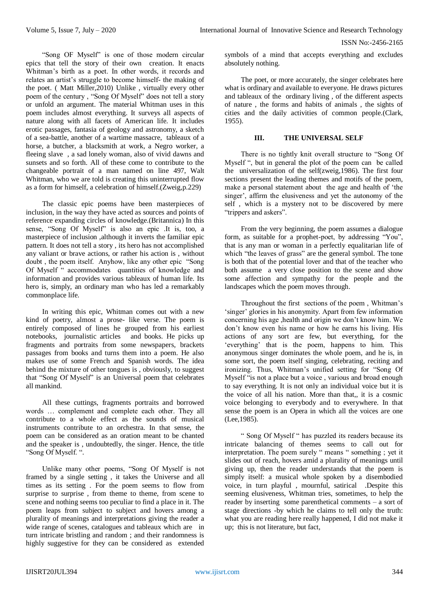"Song OF Myself" is one of those modern circular epics that tell the story of their own creation. It enacts Whitman's birth as a poet. In other words, it records and relates an artist's struggle to become himself- the making of the poet. ( Matt Miller,2010) Unlike , virtually every other poem of the century , "Song Of Myself" does not tell a story or unfold an argument. The material Whitman uses in this poem includes almost everything. It surveys all aspects of nature along with all facets of American life. It includes erotic passages, fantasia of geology and astronomy, a sketch of a sea-battle, another of a wartime massacre, tableaux of a horse, a butcher, a blacksmith at work, a Negro worker, a fleeing slave , a sad lonely woman, also of vivid dawns and sunsets and so forth. All of these come to contribute to the changeable portrait of a man named on line 497, Walt Whitman, who we are told is creating this uninterrupted flow as a form for himself, a celebration of himself.(Zweig,p.229)

The classic epic poems have been masterpieces of inclusion, in the way they have acted as sources and points of reference expanding circles of knowledge.(Britannica) In this sense, "Song Of Myself" is also an epic .It is, too, a masterpiece of inclusion ,although it inverts the familiar epic pattern. It does not tell a story , its hero has not accomplished any valiant or brave actions, or rather his action is , without doubt , the poem itself. Anyhow, like any other epic "Song Of Myself " accommodates quantities of knowledge and information and provides various tableaux of human life. Its hero is, simply, an ordinary man who has led a remarkably commonplace life.

In writing this epic, Whitman comes out with a new kind of poetry, almost a prose- like verse. The poem is entirely composed of lines he grouped from his earliest notebooks, journalistic articles and books. He picks up fragments and portraits from some newspapers, brackets passages from books and turns them into a poem. He also makes use of some French and Spanish words. The idea behind the mixture of other tongues is , obviously, to suggest that "Song Of Myself" is an Universal poem that celebrates all mankind.

All these cuttings, fragments portraits and borrowed words … complement and complete each other. They all contribute to a whole effect as the sounds of musical instruments contribute to an orchestra. In that sense, the poem can be considered as an oration meant to be chanted and the speaker is , undoubtedly, the singer. Hence, the title "Song Of Myself. ".

Unlike many other poems, "Song Of Myself is not framed by a single setting , it takes the Universe and all times as its setting . For the poem seems to flow from surprise to surprise, from theme to theme, from scene to scene and nothing seems too peculiar to find a place in it. The poem leaps from subject to subject and hovers among a plurality of meanings and interpretations giving the reader a wide range of scenes, catalogues and tableaux which are in turn intricate bristling and random ; and their randomness is highly suggestive for they can be considered as extended symbols of a mind that accepts everything and excludes absolutely nothing.

The poet, or more accurately, the singer celebrates here what is ordinary and available to everyone. He draws pictures and tableaux of the ordinary living , of the different aspects of nature , the forms and habits of animals , the sights of cities and the daily activities of common people.(Clark, 1955).

# **III. THE UNIVERSAL SELF**

There is no tightly knit overall structure to "Song Of Myself ", but in general the plot of the poem can be called the universalization of the self(zweig,1986). The first four sections present the leading themes and motifs of the poem, make a personal statement about the age and health of 'the singer', affirm the elusiveness and yet the autonomy of the self , which is a mystery not to be discovered by mere "trippers and askers".

From the very beginning, the poem assumes a dialogue form, as suitable for a prophet-poet, by addressing "You", that is any man or woman in a perfectly equalitarian life of which "the leaves of grass" are the general symbol. The tone is both that of the potential lover and that of the teacher who both assume a very close position to the scene and show some affection and sympathy for the people and the landscapes which the poem moves through.

Throughout the first sections of the poem , Whitman's 'singer' glories in his anonymity. Apart from few information concerning his age ,health and origin we don't know him. We don't know even his name or how he earns his living. His actions of any sort are few, but everything, for the 'everything' that is the poem, happens to him. This anonymous singer dominates the whole poem, and he is, in some sort, the poem itself singing, celebrating, reciting and ironizing. Thus, Whitman's unified setting for "Song Of Myself "is not a place but a voice , various and broad enough to say everything. It is not only an individual voice but it is the voice of all his nation. More than that,, it is a cosmic voice belonging to everybody and to everywhere. In that sense the poem is an Opera in which all the voices are one (Lee,1985).

" Song Of Myself " has puzzled its readers because its intricate balancing of themes seems to call out for interpretation. The poem surely " means " something ; yet it slides out of reach, hovers amid a plurality of meanings until giving up, then the reader understands that the poem is simply itself: a musical whole spoken by a disembodied voice, in turn playful , mournful, satirical .Despite this seeming elusiveness, Whitman tries, sometimes, to help the reader by inserting some parenthetical comments – a sort of stage directions -by which he claims to tell only the truth: what you are reading here really happened, I did not make it up; this is not literature, but fact,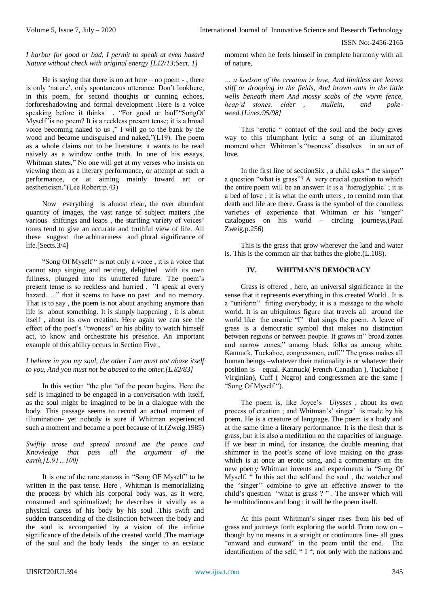# *I harbor for good or bad, I permit to speak at even hazard Nature without check with original energy [L12/13;Sect. 1]*

He is saying that there is no art here  $-$  no poem  $-$ , there is only 'nature', only spontaneous utterance. Don't lookhere, in this poem, for second thoughts or cunning echoes, forforeshadowing and formal development .Here is a voice speaking before it thinks . "For good or bad""SongOf Myself<sup>3</sup> is no poem? It is a reckless present tense; it is a broad voice becoming naked to us ," I will go to the bank by the wood and became undisguised and naked,"(L19). The poem as a whole claims not to be literature; it wants to be read naively as a window onthe truth. In one of his essays, Whitman states," No one will get at my verses who insists on viewing them as a literary performance, or attempt at such a performance, or at aiming mainly toward art or aestheticism."(Lee Robert:p.43)

Now everything is almost clear, the over abundant quantity of images, the vast range of subject matters ,the various shiftings and leaps , the startling variety of voices' tones tend to give an accurate and truthful view of life. All these suggest the arbitrariness and plural significance of life.[Sects.3/4]

"Song Of Myself " is not only a voice , it is a voice that cannot stop singing and reciting, delighted with its own fullness, plunged into its unuttered future. The poem's present tense is so reckless and hurried , "I speak at every hazard….." that it seems to have no past and no memory. That is to say , the poem is not about anything anymore than life is about something. It is simply happening , it is about itself , about its own creation. Here again we can see the effect of the poet's "twoness" or his ability to watch himself act, to know and orchestrate his presence. An important example of this ability occurs in Section Five ,

## *I believe in you my soul, the other I am must not abase itself to you, And you must not be abased to the other.[L.82/83]*

In this section "the plot "of the poem begins. Here the self is imagined to be engaged in a conversation with itself, as the soul might be imagined to be in a dialogue with the body. This passage seems to record an actual moment of illumination- yet nobody is sure if Whitman experienced such a moment and became a poet because of it.(Zweig.1985)

## *Swiftly arose and spread around me the peace and Knowledge that pass all the argument of the earth,[L.91…100]*

It is one of the rare stanzas in "Song OF Myself" to be written in the past tense. Here , Whitman is memorializing the process by which his corporal body was, as it were, consumed and spiritualized; he describes it vividly as a physical caress of his body by his soul .This swift and sudden transcending of the distinction between the body and the soul is accompanied by a vision of the infinite significance of the details of the created world .The marriage of the soul and the body leads the singer to an ecstatic moment when he feels himself in complete harmony with all of nature,

*… a keelson of the creation is love, And limitless are leaves stiff or drooping in the fields, And brown ants in the little wells beneath them And mossy scabs of the worm fence, heap'd stones, elder , mullein, and pokeweed.[Lines:95/98]*

This 'erotic " contact of the soul and the body gives way to this triumphant lyric: a song of an illuminated moment when Whitman's "twoness" dissolves in an act of  $lowe$ .

In the first line of sectionSix , a child asks " the singer" a question "what is grass"? A very crucial question to which the entire poem will be an answer: It is a 'hieroglyphic' ; it is a bed of love ; it is what the earth utters , to remind man that death and life are there. Grass is the symbol of the countless varieties of experience that Whitman or his "singer" catalogues on his world – circling journeys,(Paul Zweig,p.256)

This is the grass that grow wherever the land and water is. This is the common air that bathes the globe.(L.108).

# **IV. WHITMAN'S DEMOCRACY**

Grass is offered , here, an universal significance in the sense that it represents everything in this created World . It is a "uniform" fitting everybody; it is a message to the whole world. It is an ubiquitous figure that travels all around the world like the cosmic "I" that sings the poem. A leave of grass is a democratic symbol that makes no distinction between regions or between people. It grows in" broad zones and narrow zones," among black folks as among white, Kannuck, Tuckahoe, congressmen, cuff." The grass makes all human beings –whatever their nationality is or whatever their position is – equal. Kannuck( French-Canadian ), Tuckahoe ( Virginian), Cuff ( Negro) and congressmen are the same ( "Song Of Myself ").

The poem is, like Joyce's *Ulysses* , about its own process of creation ; and Whitman's' singer' is made by his poem. He is a creature of language. The poem is a body and at the same time a literary performance. It is the flesh that is grass, but it is also a meditation on the capacities of language. If we bear in mind, for instance, the double meaning that shimmer in the poet's scene of love making on the grass which is at once an erotic song, and a commentary on the new poetry Whitman invents and experiments in "Song Of Myself. " In this act the self and the soul , the watcher and the "singer'' combine to give an effective answer to the child's question "what is grass ? " . The answer which will be multitudinous and long : it will be the poem itself.

At this point Whitman's singer rises from his bed of grass and journeys forth exploring the world. From now on – though by no means in a straight or continuous line- all goes "onward and outward" in the poem until the end. The identification of the self, " I ", not only with the nations and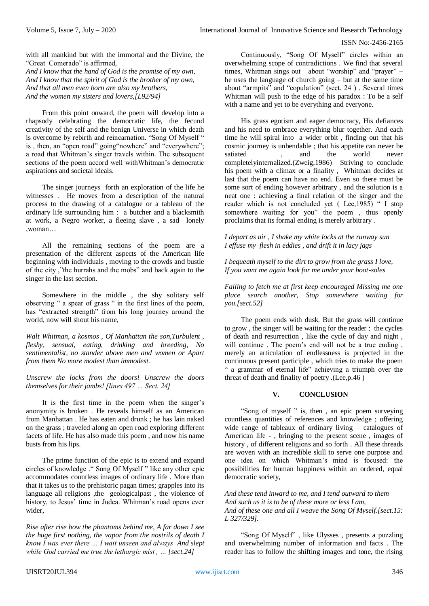with all mankind but with the immortal and the Divine, the "Great Comerado" is affirmed,

*And I know that the hand of God is the promise of my own, And I know that the spirit of God is the brother of my own, And that all men even born are also my brothers, And the women my sisters and lovers,[L92/94]*

From this point onward, the poem will develop into a rhapsody celebrating the democratic life, the fecund creativity of the self and the benign Universe in which death is overcome by rebirth and reincarnation. "Song Of Myself " is, then, an "open road" going "nowhere" and "everywhere"; a road that Whitman's singer travels within. The subsequent sections of the poem accord well withWhitman's democratic aspirations and societal ideals.

The singer journeys forth an exploration of the life he witnesses . He moves from a description of the natural process to the drawing of a catalogue or a tableau of the ordinary life surrounding him : a butcher and a blacksmith at work, a Negro worker, a fleeing slave , a sad lonely ,woman…

All the remaining sections of the poem are a presentation of the different aspects of the American life beginning with individuals , moving to the crowds and bustle of the city ,"the hurrahs and the mobs" and back again to the singer in the last section.

Somewhere in the middle , the shy solitary self observing " a spear of grass " in the first lines of the poem, has "extracted strength" from his long journey around the world, now will shout his name,

*Walt Whitman, a kosmos , Of Manhattan the son,Turbulent , fleshy, sensual, eating, drinking and breeding, No sentimentalist, no stander above men and women or Apart from them No more modest than immodest.*

*Unscrew the locks from the doors! Unscrew the doors themselves for their jambs! [lines 497 … Sect. 24]* 

It is the first time in the poem when the singer's anonymity is broken . He reveals himself as an American from Manhattan . He has eaten and drunk ; he has lain naked on the grass ; traveled along an open road exploring different facets of life. He has also made this poem , and now his name busts from his lips.

The prime function of the epic is to extend and expand circles of knowledge ." Song Of Myself " like any other epic accommodates countless images of ordinary life . More than that it takes us to the prehistoric pagan times; grapples into its language all religions , the geological past , the violence of history, to Jesus' time in Judea. Whitman's road opens ever wider,

*Rise after rise bow the phantoms behind me, A far down I see the huge first nothing, the vapor from the nostrils of death I know I was ever there … I wait unseen and always And slept while God carried me true the lethargic mist , … [sect.24]*

Continuously, "Song Of Myself" circles within an overwhelming scope of contradictions . We find that several times, Whitman sings out about "worship" and "prayer" – he uses the language of church going – but at the same time about "armpits" and "copulation" (sect. 24 ) . Several times Whitman will push to the edge of his paradox : To be a self with a name and yet to be everything and everyone.

His grass egotism and eager democracy, His defiances and his need to embrace everything blur together. And each time he will spiral into a wider orbit , finding out that his cosmic journey is unbendable ; that his appetite can never be satiated , and the world never completelyinternalized.(Zweig,1986) Striving to conclude his poem with a climax or a finality , Whitman decides at last that the poem can have no end. Even so there must be some sort of ending however arbitrary , and the solution is a neat one : achieving a final relation of the singer and the reader which is not concluded yet ( Lee,1985) " I stop somewhere waiting for you" the poem , thus openly proclaims that its formal ending is merely arbitrary .

*I depart as air , I shake my white locks at the runway sun I effuse my flesh in eddies , and drift it in lacy jags*

*I bequeath myself to the dirt to grow from the grass I love, If you want me again look for me under your boot-soles*

*Failing to fetch me at first keep encouraged Missing me one place search another, Stop somewhere waiting for you.[sect.52]*

The poem ends with dusk. But the grass will continue to grow , the singer will be waiting for the reader ; the cycles of death and resurrection , like the cycle of day and night , will continue . The poem's end will not be a true ending, merely an articulation of endlessness is projected in the continuous present participle , which tries to make the poem " a grammar of eternal life" achieving a triumph over the threat of death and finality of poetry .(Lee,p.46 )

# **V. CONCLUSION**

"Song of myself " is, then , an epic poem surveying countless quantities of references and knowledge ; offering wide range of tableaux of ordinary living – catalogues of American life - , bringing to the present scene , images of history , of different religions and so forth . All these threads are woven with an incredible skill to serve one purpose and one idea on which Whitman's mind is focused: the possibilities for human happiness within an ordered, equal democratic society,

*And these tend inward to me, and I tend outward to them And such us it is to be of these more or less I am, And of these one and all I weave the Song Of Myself.[sect.15: L 327/329].*

"Song Of Myself" , like Ulysses , presents a puzzling and overwhelming number of information and facts . The reader has to follow the shifting images and tone, the rising